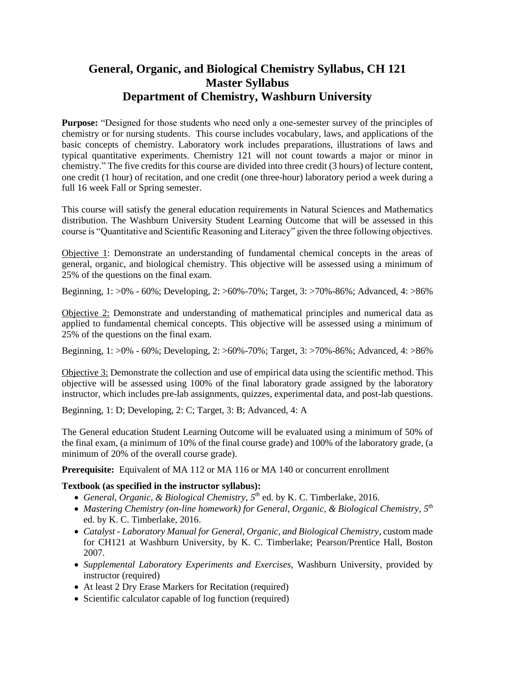## **General, Organic, and Biological Chemistry Syllabus, CH 121 Master Syllabus Department of Chemistry, Washburn University**

**Purpose:** "Designed for those students who need only a one-semester survey of the principles of chemistry or for nursing students. This course includes vocabulary, laws, and applications of the basic concepts of chemistry. Laboratory work includes preparations, illustrations of laws and typical quantitative experiments. Chemistry 121 will not count towards a major or minor in chemistry." The five credits for this course are divided into three credit (3 hours) of lecture content, one credit (1 hour) of recitation, and one credit (one three-hour) laboratory period a week during a full 16 week Fall or Spring semester.

This course will satisfy the general education requirements in Natural Sciences and Mathematics distribution. The Washburn University Student Learning Outcome that will be assessed in this course is "Quantitative and Scientific Reasoning and Literacy" given the three following objectives.

Objective 1: Demonstrate an understanding of fundamental chemical concepts in the areas of general, organic, and biological chemistry. This objective will be assessed using a minimum of 25% of the questions on the final exam.

Beginning, 1: >0% - 60%; Developing, 2: >60%-70%; Target, 3: >70%-86%; Advanced, 4: >86%

Objective 2: Demonstrate and understanding of mathematical principles and numerical data as applied to fundamental chemical concepts. This objective will be assessed using a minimum of 25% of the questions on the final exam.

Beginning, 1: >0% - 60%; Developing, 2: >60%-70%; Target, 3: >70%-86%; Advanced, 4: >86%

Objective 3: Demonstrate the collection and use of empirical data using the scientific method. This objective will be assessed using 100% of the final laboratory grade assigned by the laboratory instructor, which includes pre-lab assignments, quizzes, experimental data, and post-lab questions.

Beginning, 1: D; Developing, 2: C; Target, 3: B; Advanced, 4: A

The General education Student Learning Outcome will be evaluated using a minimum of 50% of the final exam, (a minimum of 10% of the final course grade) and 100% of the laboratory grade, (a minimum of 20% of the overall course grade).

**Prerequisite:** Equivalent of MA 112 or MA 116 or MA 140 or concurrent enrollment

#### **Textbook (as specified in the instructor syllabus):**

- *General, Organic, & Biological Chemistry, 5 th* ed. by K. C. Timberlake, 2016.
- **•** Mastering Chemistry (on-line homework) for General, Organic, & Biological Chemistry, 5<sup>th</sup> ed. by K. C. Timberlake, 2016.
- *Catalyst - Laboratory Manual for General, Organic, and Biological Chemistry*, custom made for CH121 at Washburn University, by K. C. Timberlake; Pearson/Prentice Hall, Boston 2007.
- *Supplemental Laboratory Experiments and Exercises,* Washburn University, provided by instructor (required)
- At least 2 Dry Erase Markers for Recitation (required)
- Scientific calculator capable of log function (required)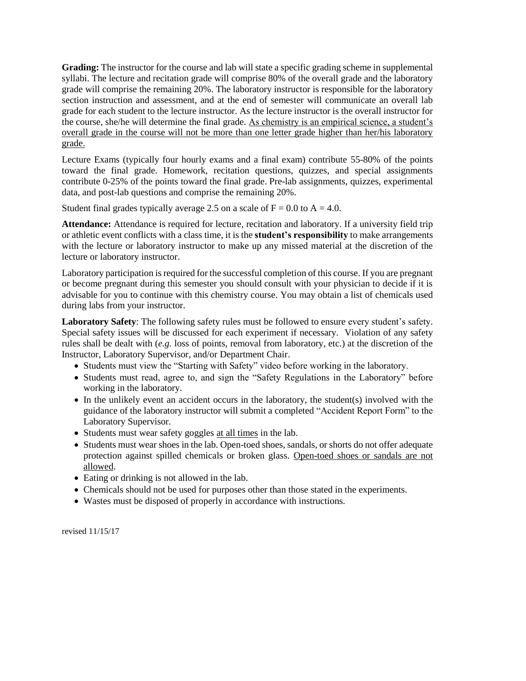**Grading:** The instructor for the course and lab will state a specific grading scheme in supplemental syllabi. The lecture and recitation grade will comprise 80% of the overall grade and the laboratory grade will comprise the remaining 20%. The laboratory instructor is responsible for the laboratory section instruction and assessment, and at the end of semester will communicate an overall lab grade for each student to the lecture instructor. As the lecture instructor is the overall instructor for the course, she/he will determine the final grade. As chemistry is an empirical science, a student's overall grade in the course will not be more than one letter grade higher than her/his laboratory grade.

Lecture Exams (typically four hourly exams and a final exam) contribute 55-80% of the points toward the final grade. Homework, recitation questions, quizzes, and special assignments contribute 0-25% of the points toward the final grade. Pre-lab assignments, quizzes, experimental data, and post-lab questions and comprise the remaining 20%.

Student final grades typically average 2.5 on a scale of  $F = 0.0$  to  $A = 4.0$ .

**Attendance:** Attendance is required for lecture, recitation and laboratory. If a university field trip or athletic event conflicts with a class time, it is the **student's responsibility** to make arrangements with the lecture or laboratory instructor to make up any missed material at the discretion of the lecture or laboratory instructor.

Laboratory participation is required for the successful completion of this course. If you are pregnant or become pregnant during this semester you should consult with your physician to decide if it is advisable for you to continue with this chemistry course. You may obtain a list of chemicals used during labs from your instructor.

**Laboratory Safety**: The following safety rules must be followed to ensure every student's safety. Special safety issues will be discussed for each experiment if necessary. Violation of any safety rules shall be dealt with (*e.g.* loss of points, removal from laboratory, etc.) at the discretion of the Instructor, Laboratory Supervisor, and/or Department Chair.

- Students must view the "Starting with Safety" video before working in the laboratory.
- Students must read, agree to, and sign the "Safety Regulations in the Laboratory" before working in the laboratory.
- In the unlikely event an accident occurs in the laboratory, the student(s) involved with the guidance of the laboratory instructor will submit a completed "Accident Report Form" to the Laboratory Supervisor.
- Students must wear safety goggles at all times in the lab.
- Students must wear shoes in the lab. Open-toed shoes, sandals, or shorts do not offer adequate protection against spilled chemicals or broken glass. Open-toed shoes or sandals are not allowed.
- Eating or drinking is not allowed in the lab.
- Chemicals should not be used for purposes other than those stated in the experiments.
- Wastes must be disposed of properly in accordance with instructions.

revised 11/15/17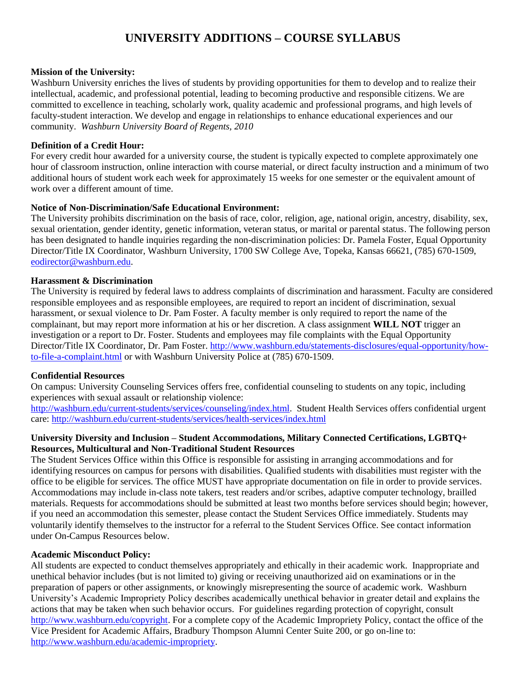# **UNIVERSITY ADDITIONS – COURSE SYLLABUS**

#### **Mission of the University:**

Washburn University enriches the lives of students by providing opportunities for them to develop and to realize their intellectual, academic, and professional potential, leading to becoming productive and responsible citizens. We are committed to excellence in teaching, scholarly work, quality academic and professional programs, and high levels of faculty-student interaction. We develop and engage in relationships to enhance educational experiences and our community. *Washburn University Board of Regents, 2010*

#### **Definition of a Credit Hour:**

For every credit hour awarded for a university course, the student is typically expected to complete approximately one hour of classroom instruction, online interaction with course material, or direct faculty instruction and a minimum of two additional hours of student work each week for approximately 15 weeks for one semester or the equivalent amount of work over a different amount of time.

#### **Notice of Non-Discrimination/Safe Educational Environment:**

The University prohibits discrimination on the basis of race, color, religion, age, national origin, ancestry, disability, sex, sexual orientation, gender identity, genetic information, veteran status, or marital or parental status. The following person has been designated to handle inquiries regarding the non-discrimination policies: Dr. Pamela Foster, Equal Opportunity Director/Title IX Coordinator, Washburn University, 1700 SW College Ave, Topeka, Kansas 66621, (785) 670-1509, [eodirector@washburn.edu.](mailto:eodirector@washburn.edu)

#### **Harassment & Discrimination**

The University is required by federal laws to address complaints of discrimination and harassment. Faculty are considered responsible employees and as responsible employees, are required to report an incident of discrimination, sexual harassment, or sexual violence to Dr. Pam Foster. A faculty member is only required to report the name of the complainant, but may report more information at his or her discretion. A class assignment **WILL NOT** trigger an investigation or a report to Dr. Foster. Students and employees may file complaints with the Equal Opportunity Director/Title IX Coordinator, Dr. Pam Foster. [http://www.washburn.edu/statements-disclosures/equal-opportunity/how](http://www.washburn.edu/statements-disclosures/equal-opportunity/how-to-file-a-complaint.html)[to-file-a-complaint.html](http://www.washburn.edu/statements-disclosures/equal-opportunity/how-to-file-a-complaint.html) or with Washburn University Police at (785) 670-1509.

## **Confidential Resources**

On campus: University Counseling Services offers free, confidential counseling to students on any topic, including experiences with sexual assault or relationship violence:

[http://washburn.edu/current-students/services/counseling/index.html.](http://washburn.edu/current-students/services/counseling/index.html) Student Health Services offers confidential urgent care:<http://washburn.edu/current-students/services/health-services/index.html>

#### **University Diversity and Inclusion – Student Accommodations, Military Connected Certifications, LGBTQ+ Resources, Multicultural and Non-Traditional Student Resources**

The Student Services Office within this Office is responsible for assisting in arranging accommodations and for identifying resources on campus for persons with disabilities. Qualified students with disabilities must register with the office to be eligible for services. The office MUST have appropriate documentation on file in order to provide services. Accommodations may include in-class note takers, test readers and/or scribes, adaptive computer technology, brailled materials. Requests for accommodations should be submitted at least two months before services should begin; however, if you need an accommodation this semester, please contact the Student Services Office immediately. Students may voluntarily identify themselves to the instructor for a referral to the Student Services Office. See contact information under On-Campus Resources below.

## **Academic Misconduct Policy:**

All students are expected to conduct themselves appropriately and ethically in their academic work. Inappropriate and unethical behavior includes (but is not limited to) giving or receiving unauthorized aid on examinations or in the preparation of papers or other assignments, or knowingly misrepresenting the source of academic work. Washburn University's Academic Impropriety Policy describes academically unethical behavior in greater detail and explains the actions that may be taken when such behavior occurs. For guidelines regarding protection of copyright, consult [http://www.washburn.edu/copyright.](http://www.washburn.edu/copyright) For a complete copy of the Academic Impropriety Policy, contact the office of the Vice President for Academic Affairs, Bradbury Thompson Alumni Center Suite 200, or go on-line to: [http://www.washburn.edu/academic-impropriety.](http://www.washburn.edu/academic-impropriety)